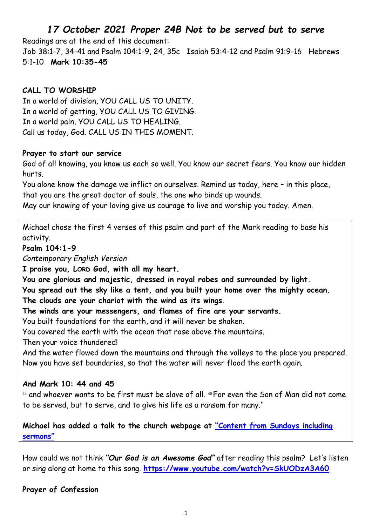# *17 October 2021 Proper 24B Not to be served but to serve*

Readings are at the end of this document: Job 38:1-7, 34-41 and Psalm 104:1-9, 24, 35c Isaiah 53:4-12 and Psalm 91:9-16 Hebrews 5:1-10 **Mark 10:35-45**

#### **CALL TO WORSHIP**

In a world of division, YOU CALL US TO UNITY. In a world of getting, YOU CALL US TO GIVING. In a world pain, YOU CALL US TO HEALING. Call us today, God. CALL US IN THIS MOMENT.

#### **Prayer to start our service**

God of all knowing, you know us each so well. You know our secret fears. You know our hidden hurts.

You alone know the damage we inflict on ourselves. Remind us today, here – in this place, that you are the great doctor of souls, the one who binds up wounds.

May our knowing of your loving give us courage to live and worship you today. Amen.

Michael chose the first 4 verses of this psalm and part of the Mark reading to base his activity.

#### **Psalm 104:1-9**

*Contemporary English Version*

**I praise you, LORD God, with all my heart.**

**You are glorious and majestic, dressed in royal robes and surrounded by light.**

**You spread out the sky like a tent, and you built your home over the mighty ocean. The clouds are your chariot with the wind as its wings.**

**The winds are your messengers, and flames of fire are your servants.**

You built foundations for the earth, and it will never be shaken.

You covered the earth with the ocean that rose above the mountains.

Then your voice thundered!

And the water flowed down the mountains and through the valleys to the place you prepared. Now you have set boundaries, so that the water will never flood the earth again.

#### **And Mark 10: 44 and 45**

<sup>44</sup> and whoever wants to be first must be slave of all. <sup>45</sup>For even the Son of Man did not come to be served, but to serve, and to give his life as a ransom for many."

### **Michael has added a talk to the church webpage at ["Content from Sundays including](https://eden.uca.org.au/content-from-sunday-including-sermons/)  [sermons"](https://eden.uca.org.au/content-from-sunday-including-sermons/)**

How could we not think *"Our God is an Awesome God"* after reading this psalm? Let's listen or sing along at home to this song. **<https://www.youtube.com/watch?v=SkUODzA3A60>**

### **Prayer of Confession**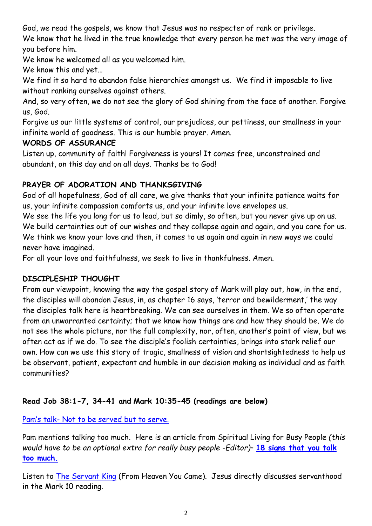God, we read the gospels, we know that Jesus was no respecter of rank or privilege.

We know that he lived in the true knowledge that every person he met was the very image of you before him.

We know he welcomed all as you welcomed him.

We know this and yet…

We find it so hard to abandon false hierarchies amongst us. We find it imposable to live without ranking ourselves against others.

And, so very often, we do not see the glory of God shining from the face of another. Forgive us, God.

Forgive us our little systems of control, our prejudices, our pettiness, our smallness in your infinite world of goodness. This is our humble prayer. Amen.

### **WORDS OF ASSURANCE**

Listen up, community of faith! Forgiveness is yours! It comes free, unconstrained and abundant, on this day and on all days. Thanks be to God!

# **PRAYER OF ADORATION AND THANKSGIVING**

God of all hopefulness, God of all care, we give thanks that your infinite patience waits for us, your infinite compassion comforts us, and your infinite love envelopes us.

We see the life you long for us to lead, but so dimly, so often, but you never give up on us. We build certainties out of our wishes and they collapse again and again, and you care for us. We think we know your love and then, it comes to us again and again in new ways we could never have imagined.

For all your love and faithfulness, we seek to live in thankfulness. Amen.

### **DISCIPLESHIP THOUGHT**

From our viewpoint, knowing the way the gospel story of Mark will play out, how, in the end, the disciples will abandon Jesus, in, as chapter 16 says, 'terror and bewilderment,' the way the disciples talk here is heartbreaking. We can see ourselves in them. We so often operate from an unwarranted certainty; that we know how things are and how they should be. We do not see the whole picture, nor the full complexity, nor, often, another's point of view, but we often act as if we do. To see the disciple's foolish certainties, brings into stark relief our own. How can we use this story of tragic, smallness of vision and shortsightedness to help us be observant, patient, expectant and humble in our decision making as individual and as faith communities?

### **Read Job 38:1-7, 34-41 and Mark 10:35-45 (readings are below)**

Pam's talk- [Not to be served but to serve.](https://eden.uca.org.au/media/11200/talk-not-to-be-served-but-to-serve.pdf)

Pam mentions talking too much. Here is an article from Spiritual Living for Busy People *(this would have to be an optional extra for really busy people -Editor)*– **[18 signs that you talk](https://www.spirituallivingforbusypeople.com/talk-too-much)  [too much.](https://www.spirituallivingforbusypeople.com/talk-too-much)**

Listen to [The Servant King](https://eden.uca.org.au/media/11202/the-servant-king-with-lyrics.mp4) (From Heaven You Came). Jesus directly discusses servanthood in the Mark 10 reading.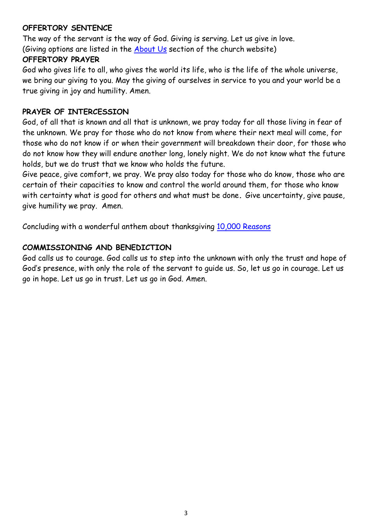#### **OFFERTORY SENTENCE**

The way of the servant is the way of God. Giving is serving. Let us give in love. (Giving options are listed in the [About Us](https://eden.uca.org.au/about-us/) section of the church website)

#### **OFFERTORY PRAYER**

God who gives life to all, who gives the world its life, who is the life of the whole universe, we bring our giving to you. May the giving of ourselves in service to you and your world be a true giving in joy and humility. Amen.

#### **PRAYER OF INTERCESSION**

God, of all that is known and all that is unknown, we pray today for all those living in fear of the unknown. We pray for those who do not know from where their next meal will come, for those who do not know if or when their government will breakdown their door, for those who do not know how they will endure another long, lonely night. We do not know what the future holds, but we do trust that we know who holds the future.

Give peace, give comfort, we pray. We pray also today for those who do know, those who are certain of their capacities to know and control the world around them, for those who know with certainty what is good for others and what must be done**.** Give uncertainty, give pause, give humility we pray. Amen.

Concluding with a wonderful anthem about thanksgiving [10,000 Reasons](https://eden.uca.org.au/media/11201/10-000-reasons-bless-the-lord-matt-redman-360.mp4)

### **COMMISSIONING AND BENEDICTION**

God calls us to courage. God calls us to step into the unknown with only the trust and hope of God's presence, with only the role of the servant to guide us. So, let us go in courage. Let us go in hope. Let us go in trust. Let us go in God. Amen.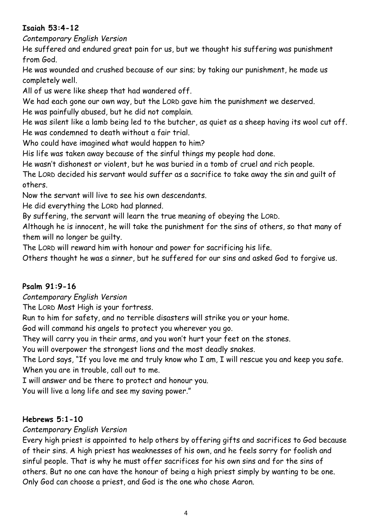# **Isaiah 53:4-12**

*Contemporary English Version*

He suffered and endured great pain for us, but we thought his suffering was punishment from God.

He was wounded and crushed because of our sins; by taking our punishment, he made us completely well.

All of us were like sheep that had wandered off.

We had each gone our own way, but the LORD gave him the punishment we deserved.

He was painfully abused, but he did not complain.

He was silent like a lamb being led to the butcher, as quiet as a sheep having its wool cut off. He was condemned to death without a fair trial.

Who could have imagined what would happen to him?

His life was taken away because of the sinful things my people had done.

He wasn't dishonest or violent, but he was buried in a tomb of cruel and rich people.

The LORD decided his servant would suffer as a sacrifice to take away the sin and guilt of others.

Now the servant will live to see his own descendants.

He did everything the LORD had planned.

By suffering, the servant will learn the true meaning of obeying the LORD.

Although he is innocent, he will take the punishment for the sins of others, so that many of them will no longer be guilty.

The LORD will reward him with honour and power for sacrificing his life.

Others thought he was a sinner, but he suffered for our sins and asked God to forgive us.

### **Psalm 91:9-16**

*Contemporary English Version*

The LORD Most High is your fortress.

Run to him for safety, and no terrible disasters will strike you or your home.

God will command his angels to protect you wherever you go.

They will carry you in their arms, and you won't hurt your feet on the stones.

You will overpower the strongest lions and the most deadly snakes.

The Lord says, "If you love me and truly know who I am, I will rescue you and keep you safe. When you are in trouble, call out to me.

I will answer and be there to protect and honour you.

You will live a long life and see my saving power."

### **Hebrews 5:1-10**

### *Contemporary English Version*

Every high priest is appointed to help others by offering gifts and sacrifices to God because of their sins. A high priest has weaknesses of his own, and he feels sorry for foolish and sinful people. That is why he must offer sacrifices for his own sins and for the sins of others. But no one can have the honour of being a high priest simply by wanting to be one. Only God can choose a priest, and God is the one who chose Aaron.